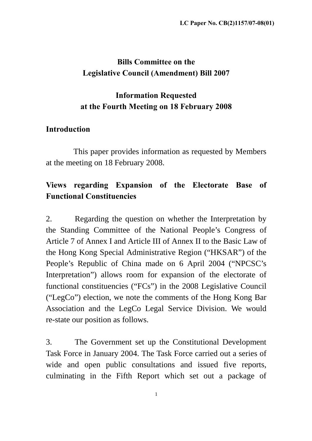# **Bills Committee on the Legislative Council (Amendment) Bill 2007**

## **Information Requested at the Fourth Meeting on 18 February 2008**

### **Introduction**

This paper provides information as requested by Members at the meeting on 18 February 2008.

# **Views regarding Expansion of the Electorate Base of Functional Constituencies**

2. Regarding the question on whether the Interpretation by the Standing Committee of the National People's Congress of Article 7 of Annex I and Article III of Annex II to the Basic Law of the Hong Kong Special Administrative Region ("HKSAR") of the People's Republic of China made on 6 April 2004 ("NPCSC's Interpretation") allows room for expansion of the electorate of functional constituencies ("FCs") in the 2008 Legislative Council ("LegCo") election, we note the comments of the Hong Kong Bar Association and the LegCo Legal Service Division. We would re-state our position as follows.

3. The Government set up the Constitutional Development Task Force in January 2004. The Task Force carried out a series of wide and open public consultations and issued five reports, culminating in the Fifth Report which set out a package of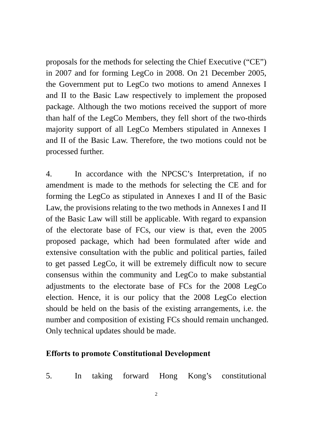proposals for the methods for selecting the Chief Executive ("CE") in 2007 and for forming LegCo in 2008. On 21 December 2005, the Government put to LegCo two motions to amend Annexes I and II to the Basic Law respectively to implement the proposed package. Although the two motions received the support of more than half of the LegCo Members, they fell short of the two-thirds majority support of all LegCo Members stipulated in Annexes I and II of the Basic Law. Therefore, the two motions could not be processed further.

4. In accordance with the NPCSC's Interpretation, if no amendment is made to the methods for selecting the CE and for forming the LegCo as stipulated in Annexes I and II of the Basic Law, the provisions relating to the two methods in Annexes I and II of the Basic Law will still be applicable. With regard to expansion of the electorate base of FCs, our view is that, even the 2005 proposed package, which had been formulated after wide and extensive consultation with the public and political parties, failed to get passed LegCo, it will be extremely difficult now to secure consensus within the community and LegCo to make substantial adjustments to the electorate base of FCs for the 2008 LegCo election. Hence, it is our policy that the 2008 LegCo election should be held on the basis of the existing arrangements, i.e. the number and composition of existing FCs should remain unchanged. Only technical updates should be made.

#### **Efforts to promote Constitutional Development**

5. In taking forward Hong Kong's constitutional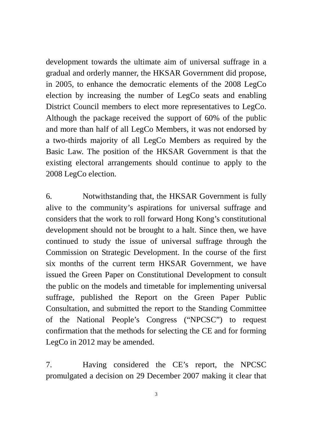development towards the ultimate aim of universal suffrage in a gradual and orderly manner, the HKSAR Government did propose, in 2005, to enhance the democratic elements of the 2008 LegCo election by increasing the number of LegCo seats and enabling District Council members to elect more representatives to LegCo. Although the package received the support of 60% of the public and more than half of all LegCo Members, it was not endorsed by a two-thirds majority of all LegCo Members as required by the Basic Law. The position of the HKSAR Government is that the existing electoral arrangements should continue to apply to the 2008 LegCo election.

6. Notwithstanding that, the HKSAR Government is fully alive to the community's aspirations for universal suffrage and considers that the work to roll forward Hong Kong's constitutional development should not be brought to a halt. Since then, we have continued to study the issue of universal suffrage through the Commission on Strategic Development. In the course of the first six months of the current term HKSAR Government, we have issued the Green Paper on Constitutional Development to consult the public on the models and timetable for implementing universal suffrage, published the Report on the Green Paper Public Consultation, and submitted the report to the Standing Committee of the National People's Congress ("NPCSC") to request confirmation that the methods for selecting the CE and for forming LegCo in 2012 may be amended.

7. Having considered the CE's report, the NPCSC promulgated a decision on 29 December 2007 making it clear that

3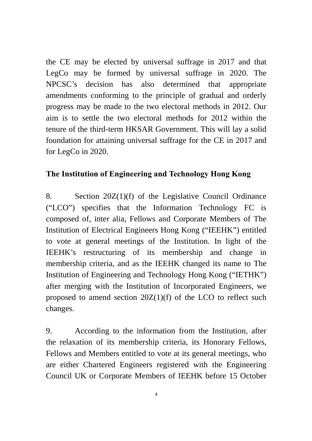the CE may be elected by universal suffrage in 2017 and that LegCo may be formed by universal suffrage in 2020. The NPCSC's decision has also determined that appropriate amendments conforming to the principle of gradual and orderly progress may be made to the two electoral methods in 2012. Our aim is to settle the two electoral methods for 2012 within the tenure of the third-term HKSAR Government. This will lay a solid foundation for attaining universal suffrage for the CE in 2017 and for LegCo in 2020.

# **The Institution of Engineering and Technology Hong Kong**

8. Section 20Z(1)(f) of the Legislative Council Ordinance ("LCO") specifies that the Information Technology FC is composed of, inter alia, Fellows and Corporate Members of The Institution of Electrical Engineers Hong Kong ("IEEHK") entitled to vote at general meetings of the Institution. In light of the IEEHK's restructuring of its membership and change in membership criteria, and as the IEEHK changed its name to The Institution of Engineering and Technology Hong Kong ("IETHK") after merging with the Institution of Incorporated Engineers, we proposed to amend section 20Z(1)(f) of the LCO to reflect such changes.

9. According to the information from the Institution, after the relaxation of its membership criteria, its Honorary Fellows, Fellows and Members entitled to vote at its general meetings, who are either Chartered Engineers registered with the Engineering Council UK or Corporate Members of IEEHK before 15 October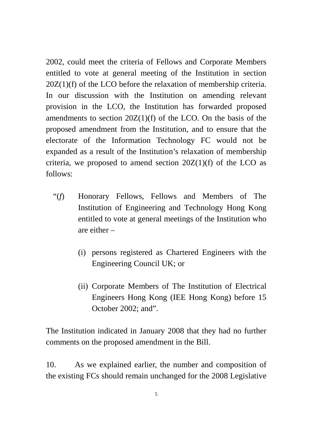2002, could meet the criteria of Fellows and Corporate Members entitled to vote at general meeting of the Institution in section 20Z(1)(f) of the LCO before the relaxation of membership criteria. In our discussion with the Institution on amending relevant provision in the LCO, the Institution has forwarded proposed amendments to section  $20Z(1)(f)$  of the LCO. On the basis of the proposed amendment from the Institution, and to ensure that the electorate of the Information Technology FC would not be expanded as a result of the Institution's relaxation of membership criteria, we proposed to amend section  $20Z(1)(f)$  of the LCO as follows:

- "(*f*) Honorary Fellows, Fellows and Members of The Institution of Engineering and Technology Hong Kong entitled to vote at general meetings of the Institution who are either –
	- (i) persons registered as Chartered Engineers with the Engineering Council UK; or
	- (ii) Corporate Members of The Institution of Electrical Engineers Hong Kong (IEE Hong Kong) before 15 October 2002; and".

The Institution indicated in January 2008 that they had no further comments on the proposed amendment in the Bill.

10. As we explained earlier, the number and composition of the existing FCs should remain unchanged for the 2008 Legislative